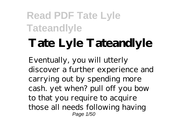# **Tate Lyle Tateandlyle**

Eventually, you will utterly discover a further experience and carrying out by spending more cash. yet when? pull off you bow to that you require to acquire those all needs following having Page 1/50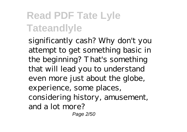significantly cash? Why don't you attempt to get something basic in the beginning? That's something that will lead you to understand even more just about the globe, experience, some places, considering history, amusement, and a lot more?

Page 2/50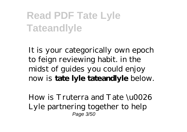It is your categorically own epoch to feign reviewing habit. in the midst of guides you could enjoy now is **tate lyle tateandlyle** below.

How is Truterra and Tate \u0026 Lyle partnering together to help Page 3/50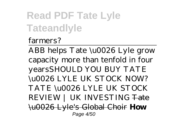farmers?

ABB helps Tate \u0026 Lyle grow capacity more than tenfold in four years*SHOULD YOU BUY TATE \u0026 LYLE UK STOCK NOW? TATE \u0026 LYLE UK STOCK REVIEW | UK INVESTING* Tate \u0026 Lyle's Global Choir **How** Page 4/50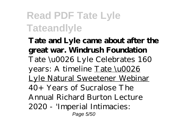**Tate and Lyle came about after the great war. Windrush Foundation** Tate \u0026 Lyle Celebrates 160 years: A timeline Tate \u0026 Lyle Natural Sweetener Webinar *40+ Years of Sucralose The Annual Richard Burton Lecture 2020 - 'Imperial Intimacies:* Page 5/50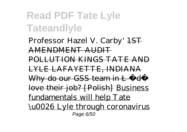*Professor Hazel V. Carby'* 1ST AMENDMENT AUDIT POLLUTION KINGS TATE AND LYLE LAFAYETTE, INDIANA Why do our GSS team in L ó d love their job? [Polish] Business fundamentals will help Tate \u0026 Lyle through coronavirus Page 6/50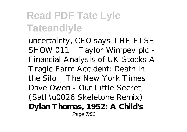uncertainty, CEO says *THE FTSE SHOW 011 | Taylor Wimpey plc - Financial Analysis of UK Stocks* A Tragic Farm Accident: Death in the Silo | The New York Times Dave Owen - Our Little Secret (Satl \u0026 Skeletone Remix) **Dylan Thomas, 1952: A Child's** Page 7/50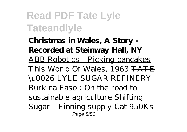**Christmas in Wales, A Story - Recorded at Steinway Hall, NY** ABB Robotics - Picking pancakes This World Of Wales, 1963 TATE \u0026 LYLE SUGAR REFINERY *Burkina Faso : On the road to sustainable agriculture* Shifting Sugar - Finning supply Cat 950Ks Page 8/50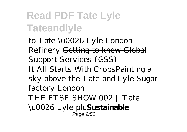to Tate \u0026 Lyle London Refinery Getting to know Global Support Services (GSS)

It All Starts With Crops Painting a sky above the Tate and Lyle Sugar factory London

THE FTSE SHOW 002 | Tate \u0026 Lyle plc**Sustainable**

Page 9/50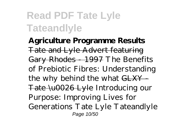**Agriculture Programme Results** Tate and Lyle Advert featuring Gary Rhodes - 1997 *The Benefits of Prebiotic Fibres: Understanding the why behind the what* GLXY - Tate \u0026 Lyle *Introducing our Purpose: Improving Lives for Generations* Tate Lyle Tateandlyle Page 10/50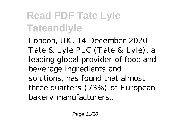London, UK, 14 December 2020 - Tate & Lyle PLC (Tate & Lyle), a leading global provider of food and beverage ingredients and solutions, has found that almost three quarters (73%) of European bakery manufacturers...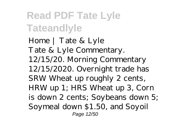Home | Tate & Lyle Tate & Lyle Commentary. 12/15/20. Morning Commentary 12/15/2020. Overnight trade has SRW Wheat up roughly 2 cents, HRW up 1; HRS Wheat up 3, Corn is down 2 cents; Soybeans down 5; Soymeal down \$1.50, and Soyoil Page 12/50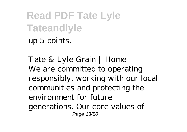up 5 points.

Tate & Lyle Grain | Home We are committed to operating responsibly, working with our local communities and protecting the environment for future generations. Our core values of Page 13/50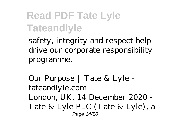safety, integrity and respect help drive our corporate responsibility programme.

Our Purpose | Tate & Lyle tateandlyle.com London, UK, 14 December 2020 - Tate & Lyle PLC (Tate & Lyle), a Page 14/50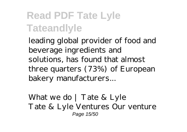leading global provider of food and beverage ingredients and solutions, has found that almost three quarters (73%) of European bakery manufacturers...

What we do | Tate & Lyle Tate & Lyle Ventures Our venture Page 15/50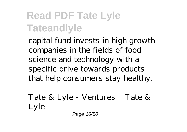capital fund invests in high growth companies in the fields of food science and technology with a specific drive towards products that help consumers stay healthy.

Tate & Lyle - Ventures | Tate & Lyle

Page 16/50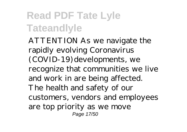ATTENTION As we navigate the rapidly evolving Coronavirus (COVID-19) developments, we recognize that communities we live and work in are being affected. The health and safety of our customers, vendors and employees are top priority as we move Page 17/50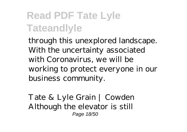through this unexplored landscape. With the uncertainty associated with Coronavirus, we will be working to protect everyone in our business community.

Tate & Lyle Grain | Cowden Although the elevator is still Page 18/50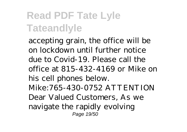accepting grain, the office will be on lockdown until further notice due to Covid-19. Please call the office at 815-432-4169 or Mike on his cell phones below. Mike:765-430-0752 ATTENTION Dear Valued Customers, As we navigate the rapidly evolving Page 19/50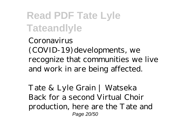Coronavirus (COVID-19) developments, we recognize that communities we live and work in are being affected.

Tate & Lyle Grain | Watseka Back for a second Virtual Choir production, here are the Tate and Page 20/50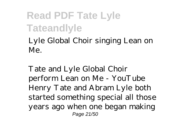Lyle Global Choir singing Lean on Me.

Tate and Lyle Global Choir perform Lean on Me - YouTube Henry Tate and Abram Lyle both started something special all those years ago when one began making Page 21/50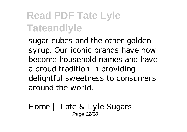sugar cubes and the other golden syrup. Our iconic brands have now become household names and have a proud tradition in providing delightful sweetness to consumers around the world.

Home | Tate & Lyle Sugars Page 22/50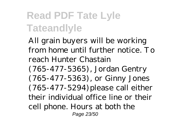All grain buyers will be working from home until further notice. To reach Hunter Chastain (765-477-5365), Jordan Gentry (765-477-5363), or Ginny Jones  $(765-477-5294)$  please call either their individual office line or their cell phone. Hours at both the Page 23/50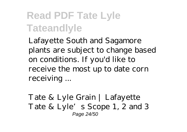Lafayette South and Sagamore plants are subject to change based on conditions. If you'd like to receive the most up to date corn receiving ...

Tate & Lyle Grain | Lafayette Tate & Lyle's Scope 1, 2 and 3 Page 24/50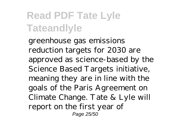greenhouse gas emissions reduction targets for 2030 are approved as science-based by the Science Based Targets initiative, meaning they are in line with the goals of the Paris Agreement on Climate Change. Tate & Lyle will report on the first year of Page 25/50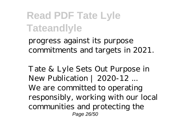progress against its purpose commitments and targets in 2021.

Tate & Lyle Sets Out Purpose in New Publication | 2020-12 ... We are committed to operating responsibly, working with our local communities and protecting the Page 26/50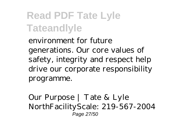environment for future generations. Our core values of safety, integrity and respect help drive our corporate responsibility programme.

Our Purpose | Tate & Lyle NorthFacilityScale: 219-567-2004 Page 27/50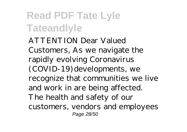ATTENTION Dear Valued Customers, As we navigate the rapidly evolving Coronavirus (COVID-19) developments, we recognize that communities we live and work in are being affected. The health and safety of our customers, vendors and employees Page 28/50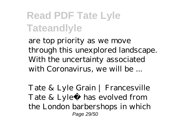are top priority as we move through this unexplored landscape. With the uncertainty associated with Coronavirus, we will be ...

Tate & Lyle Grain | Francesville Tate & Lyle® has evolved from the London barbershops in which Page 29/50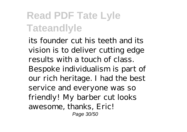its founder cut his teeth and its vision is to deliver cutting edge results with a touch of class. Bespoke individualism is part of our rich heritage. I had the best service and everyone was so friendly! My barber cut looks awesome, thanks, Eric! Page 30/50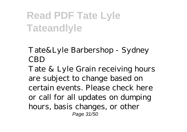Tate&Lyle Barbershop - Sydney CBD

Tate & Lyle Grain receiving hours are subject to change based on certain events. Please check here or call for all updates on dumping hours, basis changes, or other Page 31/50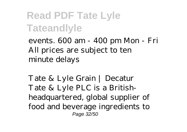events. 600 am - 400 pm Mon - Fri All prices are subject to ten minute delays

Tate & Lyle Grain | Decatur Tate & Lyle PLC is a Britishheadquartered, global supplier of food and beverage ingredients to Page 32/50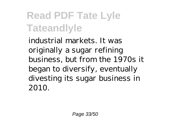industrial markets. It was originally a sugar refining business, but from the 1970s it began to diversify, eventually divesting its sugar business in 2010.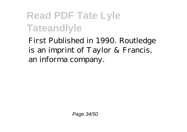First Published in 1990. Routledge is an imprint of Taylor & Francis, an informa company.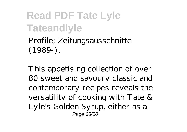Profile; Zeitungsausschnitte (1989-).

This appetising collection of over 80 sweet and savoury classic and contemporary recipes reveals the versatility of cooking with Tate & Lyle's Golden Syrup, either as a Page 35/50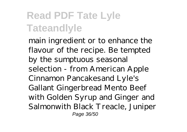main ingredient or to enhance the flavour of the recipe. Be tempted by the sumptuous seasonal selection - from American Apple Cinnamon Pancakesand Lyle's Gallant Gingerbread Mento Beef with Golden Syrup and Ginger and Salmonwith Black Treacle, Juniper Page 36/50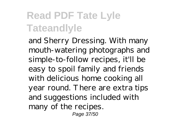and Sherry Dressing. With many mouth-watering photographs and simple-to-follow recipes, it'll be easy to spoil family and friends with delicious home cooking all year round. There are extra tips and suggestions included with many of the recipes. Page 37/50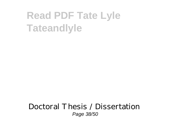#### Doctoral Thesis / Dissertation Page 38/50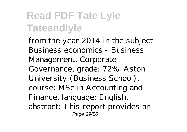from the year 2014 in the subject Business economics - Business Management, Corporate Governance, grade: 72%, Aston University (Business School), course: MSc in Accounting and Finance, language: English, abstract: This report provides an Page 39/50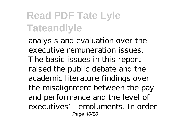analysis and evaluation over the executive remuneration issues. The basic issues in this report raised the public debate and the academic literature findings over the misalignment between the pay and performance and the level of executives' emoluments. In order Page 40/50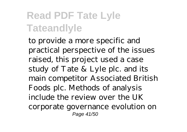to provide a more specific and practical perspective of the issues raised, this project used a case study of Tate & Lyle plc. and its main competitor Associated British Foods plc. Methods of analysis include the review over the UK corporate governance evolution on Page 41/50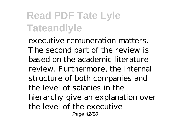executive remuneration matters. The second part of the review is based on the academic literature review. Furthermore, the internal structure of both companies and the level of salaries in the hierarchy give an explanation over the level of the executive Page 42/50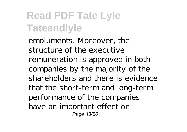emoluments. Moreover, the structure of the executive remuneration is approved in both companies by the majority of the shareholders and there is evidence that the short-term and long-term performance of the companies have an important effect on Page 43/50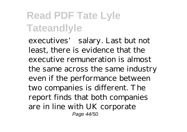executives' salary. Last but not least, there is evidence that the executive remuneration is almost the same across the same industry even if the performance between two companies is different. The report finds that both companies are in line with UK corporate Page 44/50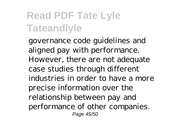governance code guidelines and aligned pay with performance. However, there are not adequate case studies through different industries in order to have a more precise information over the relationship between pay and performance of other companies. Page 45/50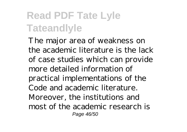The major area of weakness on the academic literature is the lack of case studies which can provide more detailed information of practical implementations of the Code and academic literature. Moreover, the institutions and most of the academic research is Page 46/50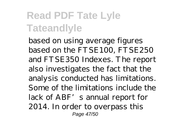based on using average figures based on the FTSE100, FTSE250 and FTSE350 Indexes. The report also investigates the fact that the analysis conducted has limitations. Some of the limitations include the lack of ABF's annual report for 2014. In order to overpass this Page 47/50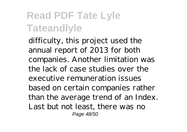difficulty, this project used the annual report of 2013 for both companies. Another limitation was the lack of case studies over the executive remuneration issues based on certain companies rather than the average trend of an Index. Last but not least, there was no Page 48/50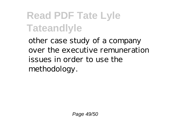other case study of a company over the executive remuneration issues in order to use the methodology.